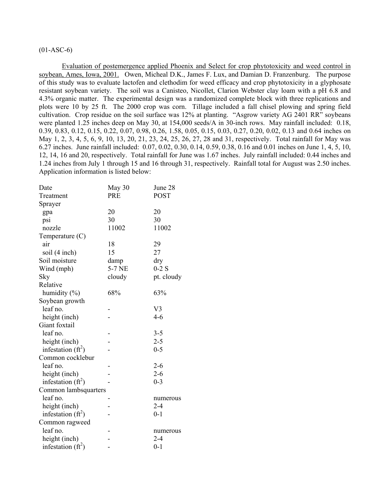# $(01-ASC-6)$

Evaluation of postemergence applied Phoenix and Select for crop phytotoxicity and weed control in soybean, Ames, Iowa, 2001. Owen, Micheal D.K., James F. Lux, and Damian D. Franzenburg. The purpose of this study was to evaluate lactofen and clethodim for weed efficacy and crop phytotoxicity in a glyphosate resistant soybean variety. The soil was a Canisteo, Nicollet, Clarion Webster clay loam with a pH 6.8 and 4.3% organic matter. The experimental design was a randomized complete block with three replications and plots were 10 by 25 ft. The 2000 crop was corn. Tillage included a fall chisel plowing and spring field cultivation. Crop residue on the soil surface was 12% at planting. "Asgrow variety AG 2401 RR" soybeans were planted 1.25 inches deep on May 30, at 154,000 seeds/A in 30-inch rows. May rainfall included: 0.18, 0.39, 0.83, 0.12, 0.15, 0.22, 0.07, 0.98, 0.26, 1.58, 0.05, 0.15, 0.03, 0.27, 0.20, 0.02, 0.13 and 0.64 inches on May 1, 2, 3, 4, 5, 6, 9, 10, 13, 20, 21, 23, 24, 25, 26, 27, 28 and 31, respectively. Total rainfall for May was 6.27 inches. June rainfall included: 0.07, 0.02, 0.30, 0.14, 0.59, 0.38, 0.16 and 0.01 inches on June 1, 4, 5, 10, 12, 14, 16 and 20, respectively. Total rainfall for June was 1.67 inches. July rainfall included: 0.44 inches and 1.24 inches from July 1 through 15 and 16 through 31, respectively. Rainfall total for August was 2.50 inches. Application information is listed below:

| Date                 | May 30     | June 28        |
|----------------------|------------|----------------|
| Treatment            | <b>PRE</b> | <b>POST</b>    |
| Sprayer              |            |                |
| gpa                  | 20         | 20             |
| psi                  | 30         | 30             |
| nozzle               | 11002      | 11002          |
| Temperature $(C)$    |            |                |
| air                  | 18         | 29             |
| soil (4 inch)        | 15         | 27             |
| Soil moisture        | damp       | dry            |
| Wind (mph)           | 5-7 NE     | $0-2$ S        |
| Sky                  | cloudy     | pt. cloudy     |
| Relative             |            |                |
| humidity (%)         | 68%        | 63%            |
| Soybean growth       |            |                |
| leaf no.             |            | V <sub>3</sub> |
| height (inch)        |            | $4 - 6$        |
| Giant foxtail        |            |                |
| leaf no.             |            | $3 - 5$        |
| height (inch)        |            | $2 - 5$        |
| infestation $(ft^2)$ |            | $0 - 5$        |
| Common cocklebur     |            |                |
| leaf no.             |            | $2 - 6$        |
| height (inch)        |            | $2 - 6$        |
| infestation $(ft^2)$ |            | $0 - 3$        |
| Common lambsquarters |            |                |
| leaf no.             |            | numerous       |
| height (inch)        |            | $2 - 4$        |
| infestation $(ft^2)$ |            | $0 - 1$        |
| Common ragweed       |            |                |
| leaf no.             |            | numerous       |
| height (inch)        |            | $2 - 4$        |
| infestation $(ft^2)$ |            | $0 - 1$        |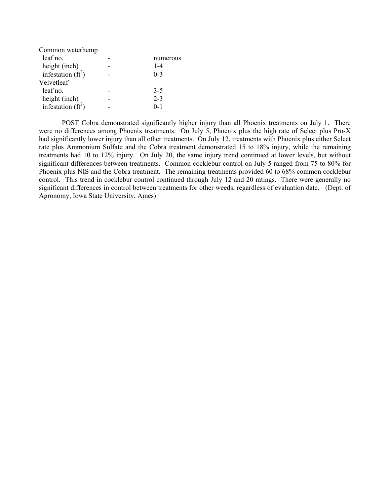| Common waterhemp     |          |
|----------------------|----------|
| leaf no.             | numerous |
| height (inch)        | $1 - 4$  |
| infestation $(ft^2)$ | $0-3$    |
| Velvetleaf           |          |
| leaf no.             | $3-5$    |
| height (inch)        | $2 - 3$  |
| infestation $(ft^2)$ | $0 - 1$  |
|                      |          |

POST Cobra demonstrated significantly higher injury than all Phoenix treatments on July 1. There were no differences among Phoenix treatments. On July 5, Phoenix plus the high rate of Select plus Pro-X had significantly lower injury than all other treatments. On July 12, treatments with Phoenix plus either Select rate plus Ammonium Sulfate and the Cobra treatment demonstrated 15 to 18% injury, while the remaining treatments had 10 to 12% injury. On July 20, the same injury trend continued at lower levels, but without significant differences between treatments. Common cocklebur control on July 5 ranged from 75 to 80% for Phoenix plus NIS and the Cobra treatment. The remaining treatments provided 60 to 68% common cocklebur control. This trend in cocklebur control continued through July 12 and 20 ratings. There were generally no significant differences in control between treatments for other weeds, regardless of evaluation date. (Dept. of Agronomy, Iowa State University, Ames)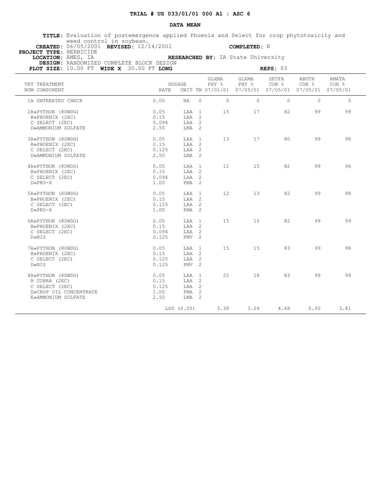### **DATA MEAN**

 **TITLE:** Evaluation of postemergence applied Phoenix and Select for crop phytotoxicity and weed control in soybean.

 **CREATED:** 06/05/2001 **REVISED:** 12/14/2001 **COMPLETED:** N  **PROJECT TYPE:** HERBICIDE

 **LOCATION:** AMES, IA **RESEARCHED BY:** IA State University  **DESIGN:** RANDOMIZED COMPLETE BLOCK DESIGN

| PLOT SIZE: 10.00 FT WIDE X 30.00 FT LONG                                                             |                                       | REPS: 03                                             |                 |                |                |                                                                                   |                |
|------------------------------------------------------------------------------------------------------|---------------------------------------|------------------------------------------------------|-----------------|----------------|----------------|-----------------------------------------------------------------------------------|----------------|
| TRT TREATMENT<br>NUM COMPONENT                                                                       | DOSAGE<br>RATE                        |                                                      | GLXMA<br>PHY %  | GLXMA<br>PHY % | SETFA<br>CON % | ABUTH<br>CON <sub>8</sub><br>UNIT TM 07/01/01 07/05/01 07/05/01 07/05/01 07/05/01 | AMATA<br>CON % |
| 1A UNTREATED CHECK                                                                                   | 0.00                                  | $\circ$<br>NA                                        | $\circ$         | $\bigcirc$     | $\circ$        | $\Omega$                                                                          | $\circ$        |
| 2A»PYTHON (80WDG)<br>B»PHOENIX (2EC)<br>C SELECT (2EC)<br>D»AMMONIUM SULFATE                         | 0.05<br>0.15<br>0.094<br>2.50         | LAA 1<br>LAA 2<br>LAA 2<br>LMA <sub>2</sub>          | 15              |                | 82             | 99                                                                                | 99             |
| 3A»PYTHON (80WDG)<br>B»PHOENIX (2EC)<br>C SELECT (2EC)<br>D»AMMONIUM SULFATE                         | 0.05<br>0.15<br>0.125<br>2.50         | LAA 1<br>LAA 2<br>LAA 2<br>LMA 2                     | 13 <sup>7</sup> | 17             | 80             | 99                                                                                | 98             |
| 4A»PYTHON (80WDG)<br>B»PHOENIX (2EC)<br>C SELECT (2EC)<br>$D\gg PRO-X$                               | 0.05<br>0.15<br>0.094<br>1.00         | LAA 1<br>LAA 2<br>LAA 2<br>PMA <sub>2</sub>          | 12              | 15             | 82             | 99                                                                                | 96             |
| 5A»PYTHON (80WDG)<br>B»PHOENIX (2EC)<br>C SELECT (2EC)<br>$D\!\!\!\times\!\!PRO\!-\!X$               | 0.05<br>0.15<br>0.125<br>1.00         | LAA 1<br>LAA 2<br>LAA 2<br>PMA <sub>2</sub>          | 12 <sup>°</sup> | 13             | 82             | 99                                                                                | 98             |
| 6A»PYTHON (80WDG)<br>B»PHOENIX (2EC)<br>C SELECT (2EC)<br>D»NIS                                      | 0.05<br>0.15<br>0.094<br>0.125        | LAA 1<br>LAA 2<br>LAA 2<br>$PMV$ 2                   | 15              | 15             | 82             | 99                                                                                | 99             |
| 7A»PYTHON (80WDG)<br>B»PHOENIX (2EC)<br>C SELECT (2EC)<br>D»NIS                                      | 0.05<br>0.15<br>0.125<br>0.125        | LAA 1<br>LAA 2<br>LAA 2<br>PMV <sub>2</sub>          | 15              | 1.5            | 83             | 99                                                                                | 98             |
| 8A»PYTHON (80WDG)<br>B COBRA (2EC)<br>C SELECT (2EC)<br>D»CROP OIL CONCENTRATE<br>E»AMMONIUM SULFATE | 0.05<br>0.15<br>0.125<br>1.00<br>2.50 | LAA 1<br>LAA 2<br>LAA 2<br>PMA <sub>2</sub><br>LMA 2 | 22              | 18             | 83             | 99                                                                                | 99             |
|                                                                                                      | LSD(0.05)                             |                                                      | 3.38            | 3.24           | 4.48           | 0.00                                                                              | 3.81           |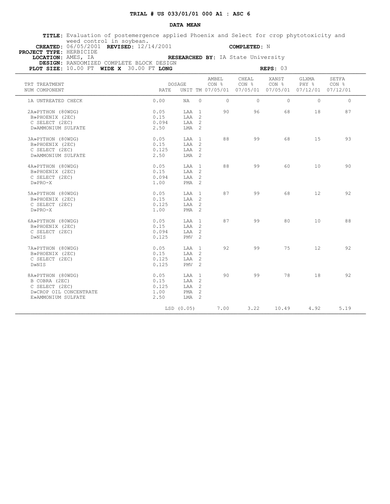### **DATA MEAN**

 **TITLE:** Evaluation of postemergence applied Phoenix and Select for crop phytotoxicity and weed control in soybean.

 **CREATED:** 06/05/2001 **REVISED:** 12/14/2001 **COMPLETED:** N  **PROJECT TYPE:** HERBICIDE

 **LOCATION:** AMES, IA **RESEARCHED BY:** IA State University

 **DESIGN:** RANDOMIZED COMPLETE BLOCK DESIGN

| PLOT SIZE: 10.00 FT WIDE X 30.00 FT LONG                                                             |                                       | REPS: 03                                               |                |                |                                                                        |                |                   |                |
|------------------------------------------------------------------------------------------------------|---------------------------------------|--------------------------------------------------------|----------------|----------------|------------------------------------------------------------------------|----------------|-------------------|----------------|
| TRT TREATMENT<br>NUM COMPONENT                                                                       | RATE.                                 | <b>DOSAGE</b>                                          |                | AMBEL<br>CON % | CHEAL<br>CON %<br>UNIT TM 07/05/01 07/05/01 07/05/01 07/12/01 07/12/01 | XANST<br>CON % | GLXMA<br>PHY %    | SETFA<br>CON % |
| 1A UNTREATED CHECK                                                                                   | 0.00                                  | NA                                                     | $\circ$        | $\circ$        | $\Omega$                                                               | $\circ$        | $\Omega$          | $\circ$        |
| 2A»PYTHON (80WDG)<br>B»PHOENIX (2EC)<br>C SELECT (2EC)<br>D»AMMONIUM SULFATE                         | 0.05<br>0.15<br>0.094<br>2.50         | LAA 1<br>LAA 2<br>LAA 2<br>LMA 2                       |                | 90             | 96                                                                     | 68             | 18                | 87             |
| 3A»PYTHON (80WDG)<br>B»PHOENIX (2EC)<br>C SELECT (2EC)<br>D»AMMONIUM SULFATE                         | 0.05<br>0.15<br>0.125<br>2.50         | LAA 1<br>LAA 2<br>LAA 2<br>$LMA$ 2                     |                | 88             | 99                                                                     | 68             | 15                | 93             |
| 4A»PYTHON (80WDG)<br>B»PHOENIX (2EC)<br>C SELECT (2EC)<br>$D\!\!\!\times\!\!PRO\!-\!X$               | 0.05<br>0.15<br>0.094<br>1.00         | LAA 1<br>LAA 2<br>LAA 2<br>PMA <sub>2</sub>            |                | 88             | 99                                                                     | 60             | 10 <sup>°</sup>   | 90             |
| 5A»PYTHON (80WDG)<br>B»PHOENIX (2EC)<br>C SELECT (2EC)<br>$D\!\!\!\times\!\!PRO\!-\!X$               | 0.05<br>0.15<br>0.125<br>1.00         | LAA<br>LAA 2<br>LAA 2<br>PMA <sub>2</sub>              | $\overline{1}$ | 87             | 99                                                                     | 68             | $12 \overline{ }$ | 92             |
| 6A»PYTHON (80WDG)<br>B»PHOENIX (2EC)<br>C SELECT (2EC)<br>D»NIS                                      | 0.05<br>0.15<br>0.094<br>0.125        | LAA 1<br>LAA <sub>2</sub><br>LAA 2<br>PMV <sub>2</sub> |                | 87             | 99                                                                     | 80             | 10 <sup>°</sup>   | 88             |
| 7A»PYTHON (80WDG)<br>B»PHOENIX (2EC)<br>C SELECT (2EC)<br>D»NIS                                      | 0.05<br>0.15<br>0.125<br>0.125        | LAA 1<br>LAA 2<br>LAA 2<br>PMV <sub>2</sub>            |                | 92             | 99                                                                     | 75             | $12 \overline{ }$ | 92             |
| 8A»PYTHON (80WDG)<br>B COBRA (2EC)<br>C SELECT (2EC)<br>D»CROP OIL CONCENTRATE<br>E»AMMONIUM SULFATE | 0.05<br>0.15<br>0.125<br>1.00<br>2.50 | LAA 1<br>LAA 2<br>LAA 2<br>PMA <sub>2</sub><br>LMA 2   |                | 90             | 99                                                                     | 78             | 18                | 92             |
|                                                                                                      |                                       | LSD (0.05)                                             |                | 7.00           | 3.22                                                                   | 10.49          | 4.92              | 5.19           |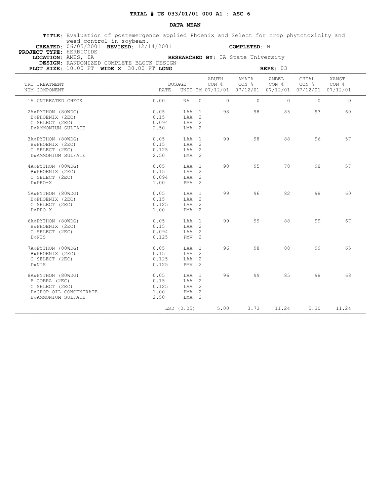### **DATA MEAN**

 **TITLE:** Evaluation of postemergence applied Phoenix and Select for crop phytotoxicity and weed control in soybean.

 **CREATED:** 06/05/2001 **REVISED:** 12/14/2001 **COMPLETED:** N  **PROJECT TYPE:** HERBICIDE

 **LOCATION:** AMES, IA **RESEARCHED BY:** IA State University

 **DESIGN:** RANDOMIZED COMPLETE BLOCK DESIGN **PLOT SIZE:** 10.00 FT **WIDE X** 30.00 FT **LONG REPS: 03 REPS: 03** 

| TRT TREATMENT<br>NUM COMPONENT | <b>RATE</b> | DOSAGE           |          | ABUTH<br>CON % | AMATA<br>CON %<br>UNIT TM 07/12/01 07/12/01 07/12/01 07/12/01 07/12/01 | AMBEL    | CHEAL<br>CON <sub>8</sub> CON <sub>8</sub> | XANST<br>CON % |
|--------------------------------|-------------|------------------|----------|----------------|------------------------------------------------------------------------|----------|--------------------------------------------|----------------|
| 1A UNTREATED CHECK             | 0.00        | NA               | $\Omega$ | $\circ$        | $\Omega$                                                               | $\Omega$ | $\Omega$                                   | $\circ$        |
| 2A»PYTHON (80WDG)              | 0.05        | LAA 1            |          | 98             | 98                                                                     | 85       | 93                                         | 60             |
| B»PHOENIX (2EC)                | 0.15        | LAA 2            |          |                |                                                                        |          |                                            |                |
| C SELECT (2EC)                 | 0.094       | LAA 2            |          |                |                                                                        |          |                                            |                |
|                                | 2.50        | $LMA$ 2          |          |                |                                                                        |          |                                            |                |
| D»AMMONIUM SULFATE             |             |                  |          |                |                                                                        |          |                                            |                |
| 3A»PYTHON (80WDG)              | 0.05        | LAA 1            |          | 99             | 98                                                                     | 88       | 96                                         | 57             |
| B»PHOENIX (2EC)                | 0.15        | LAA 2            |          |                |                                                                        |          |                                            |                |
| C SELECT (2EC)                 | 0.125       | LAA 2            |          |                |                                                                        |          |                                            |                |
| D»AMMONIUM SULFATE             | 2.50        | LMA 2            |          |                |                                                                        |          |                                            |                |
|                                |             |                  |          |                |                                                                        |          |                                            |                |
| 4A»PYTHON (80WDG)              | 0.05        | T.AA 1           |          | 98             | 95                                                                     | 78       | 98                                         | 57             |
| B»PHOENIX (2EC)                | 0.15        | LAA 2            |          |                |                                                                        |          |                                            |                |
| C SELECT (2EC)                 | 0.094       | LAA 2            |          |                |                                                                        |          |                                            |                |
| $D\gg PRO-X$                   | 1.00        | $PMA$ 2          |          |                |                                                                        |          |                                            |                |
| 5A»PYTHON (80WDG)              | 0.05        | LAA 1            |          | 99             | 96                                                                     | 82       | 98                                         | 60             |
| B»PHOENIX (2EC)                | 0.15        | LAA 2            |          |                |                                                                        |          |                                            |                |
| C SELECT (2EC)                 | 0.125       | LAA 2            |          |                |                                                                        |          |                                            |                |
| $D\gg PRO-X$                   | 1.00        | PMA <sub>2</sub> |          |                |                                                                        |          |                                            |                |
|                                |             |                  |          |                |                                                                        |          |                                            |                |
| 6A»PYTHON (80WDG)              | 0.05        | LAA 1            |          | 99             | 99                                                                     | 88       | 99                                         | 67             |
| B»PHOENIX (2EC)                | 0.15        | LAA 2            |          |                |                                                                        |          |                                            |                |
| C SELECT (2EC)                 | 0.094       | TAA 2            |          |                |                                                                        |          |                                            |                |
| D»NIS                          | 0.125       | PMV <sub>2</sub> |          |                |                                                                        |          |                                            |                |
| 7A»PYTHON (80WDG)              | 0.05        | T.AA 1           |          | 96             | 98                                                                     | 88       | 99                                         | 65             |
|                                | 0.15        | LAA 2            |          |                |                                                                        |          |                                            |                |
| B»PHOENIX (2EC)                |             |                  |          |                |                                                                        |          |                                            |                |
| C SELECT (2EC)                 | 0.125       | LAA 2            |          |                |                                                                        |          |                                            |                |
| D»NIS                          | 0.125       | $PMV$ 2          |          |                |                                                                        |          |                                            |                |
| 8A»PYTHON (80WDG)              | 0.05        | LAA 1            |          | 96             | 99                                                                     | 85       | 98                                         | 68             |
| B COBRA (2EC)                  | 0.15        | LAA 2            |          |                |                                                                        |          |                                            |                |
| C SELECT (2EC)                 | 0.125       | LAA 2            |          |                |                                                                        |          |                                            |                |
| D»CROP OIL CONCENTRATE         | 1.00        | $PMA$ 2          |          |                |                                                                        |          |                                            |                |
| E»AMMONIUM SULFATE             | 2.50        | LMA 2            |          |                |                                                                        |          |                                            |                |
|                                |             | LSD (0.05)       |          | 5.00           | 3.73                                                                   | 11.24    | 5.30                                       | 11.24          |
|                                |             |                  |          |                |                                                                        |          |                                            |                |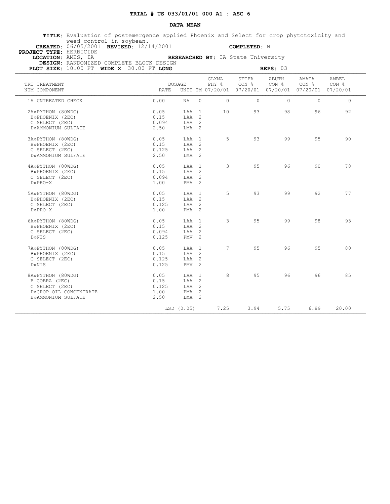### **DATA MEAN**

 **TITLE:** Evaluation of postemergence applied Phoenix and Select for crop phytotoxicity and weed control in soybean.

 **CREATED:** 06/05/2001 **REVISED:** 12/14/2001 **COMPLETED:** N  **PROJECT TYPE:** HERBICIDE

 **LOCATION:** AMES, IA **RESEARCHED BY:** IA State University  **DESIGN:** RANDOMIZED COMPLETE BLOCK DESIGN

| PLOT SIZE: 10.00 FT WIDE X 30.00 FT LONG               |                       | REPS: 03                  |                |                |                                                                                   |                           |                |  |  |
|--------------------------------------------------------|-----------------------|---------------------------|----------------|----------------|-----------------------------------------------------------------------------------|---------------------------|----------------|--|--|
| TRT TREATMENT<br>NUM COMPONENT                         | DOSAGE<br>RATE        |                           | GLXMA<br>PHY % | SETFA<br>CON % | ABUTH<br>CON <sub>8</sub><br>UNIT TM 07/20/01 07/20/01 07/20/01 07/20/01 07/20/01 | AMATA<br>CON <sub>8</sub> | AMBEL<br>CON % |  |  |
| 1A UNTREATED CHECK                                     | 0.00                  | $\circ$<br>NA             | $\circ$        | $\circ$        | $\circ$                                                                           | $\Omega$                  | $\circ$        |  |  |
| 2A»PYTHON (80WDG)<br>B»PHOENIX (2EC)                   | 0.05<br>0.15          | LAA 1<br>LAA 2            | 10             | 93             | 98                                                                                | 96                        | 92             |  |  |
| C SELECT (2EC)<br>D»AMMONIUM SULFATE                   | 0.094<br>2.50         | LAA 2<br>LMA 2            |                |                |                                                                                   |                           |                |  |  |
| 3A»PYTHON (80WDG)                                      | 0.05                  | LAA 1                     | 5              | 93             | 99                                                                                | 9.5                       | 90             |  |  |
| B»PHOENIX (2EC)<br>C SELECT (2EC)                      | 0.15<br>0.125         | LAA 2<br>LAA 2            |                |                |                                                                                   |                           |                |  |  |
| D»AMMONIUM SULFATE                                     | 2.50                  | LMA <sub>2</sub>          |                |                |                                                                                   |                           |                |  |  |
| 4A»PYTHON (80WDG)<br>B»PHOENIX (2EC)<br>C SELECT (2EC) | 0.05<br>0.15<br>0.094 | LAA 1<br>LAA 2<br>LAA 2   | 3              | 95             | 96                                                                                | 90                        | 78             |  |  |
| $D\gg PRO-X$                                           | 1.00                  | PMA <sub>2</sub>          |                |                |                                                                                   |                           |                |  |  |
| 5A»PYTHON (80WDG)<br>B»PHOENIX (2EC)                   | 0.05<br>0.15          | LAA 1<br>LAA 2            | 5              | 93             | 99                                                                                | 92                        | 77             |  |  |
| C SELECT (2EC)<br>$D\gg PRO-X$                         | 0.125<br>1.00         | LAA 2<br>PMA <sub>2</sub> |                |                |                                                                                   |                           |                |  |  |
| 6A»PYTHON (80WDG)<br>B»PHOENIX (2EC)                   | 0.05<br>0.15          | LAA 1<br>LAA 2            | $\mathcal{S}$  | 95             | 99                                                                                | 98                        | 93             |  |  |
| C SELECT (2EC)<br>D»NIS                                | 0.094<br>0.125        | LAA 2<br>PMV <sub>2</sub> |                |                |                                                                                   |                           |                |  |  |
| 7A»PYTHON (80WDG)                                      | 0.05                  | LAA 1                     | $7^{\circ}$    | 95             | 96                                                                                | 95                        | 80             |  |  |
| B»PHOENIX (2EC)<br>C SELECT (2EC)                      | 0.15<br>0.125         | LAA 2<br>LAA 2            |                |                |                                                                                   |                           |                |  |  |
| D»NIS                                                  | 0.125                 | PMV <sub>2</sub>          |                |                |                                                                                   |                           |                |  |  |
| 8A»PYTHON (80WDG)<br>B COBRA (2EC)<br>C SELECT (2EC)   | 0.05<br>0.15<br>0.125 | LAA 1<br>LAA 2<br>LAA 2   | 8              | 95             | 96                                                                                | 96                        | 85             |  |  |
| D»CROP OIL CONCENTRATE<br>E»AMMONIUM SULFATE           | 1.00<br>2.50          | PMA <sub>2</sub><br>LMA 2 |                |                |                                                                                   |                           |                |  |  |
|                                                        | LSD (0.05)            |                           | 7.25           | 3.94           | 5.75                                                                              | 6.89                      | 20.00          |  |  |